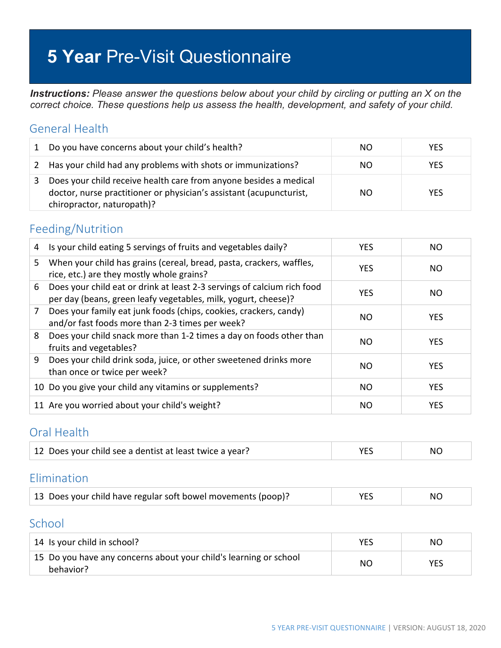# **5 Year** Pre-Visit Questionnaire

*Instructions: Please answer the questions below about your child by circling or putting an X on the correct choice. These questions help us assess the health, development, and safety of your child.*

#### General Health

| 1 | Do you have concerns about your child's health?                                                                                                                        | NO. | <b>YES</b> |
|---|------------------------------------------------------------------------------------------------------------------------------------------------------------------------|-----|------------|
|   | 2 Has your child had any problems with shots or immunizations?                                                                                                         | NO. | <b>YFS</b> |
| 3 | Does your child receive health care from anyone besides a medical<br>doctor, nurse practitioner or physician's assistant (acupuncturist,<br>chiropractor, naturopath)? | NO. | <b>YFS</b> |

#### Feeding/Nutrition

| 4  | Is your child eating 5 servings of fruits and vegetables daily?                                                                           | <b>YES</b> | NO.        |
|----|-------------------------------------------------------------------------------------------------------------------------------------------|------------|------------|
| 5. | When your child has grains (cereal, bread, pasta, crackers, waffles,<br>rice, etc.) are they mostly whole grains?                         | <b>YES</b> | NO         |
| 6  | Does your child eat or drink at least 2-3 servings of calcium rich food<br>per day (beans, green leafy vegetables, milk, yogurt, cheese)? | <b>YES</b> | NO.        |
| 7  | Does your family eat junk foods (chips, cookies, crackers, candy)<br>and/or fast foods more than 2-3 times per week?                      | NO.        | <b>YES</b> |
| 8  | Does your child snack more than 1-2 times a day on foods other than<br>fruits and vegetables?                                             | NO.        | <b>YES</b> |
| 9  | Does your child drink soda, juice, or other sweetened drinks more<br>than once or twice per week?                                         | NO.        | <b>YES</b> |
|    | 10 Do you give your child any vitamins or supplements?                                                                                    | NO.        | <b>YES</b> |
|    | 11 Are you worried about your child's weight?                                                                                             | NO.        | <b>YES</b> |

#### Oral Health

| 12 Does your child see a dentist at least twice a year? |  | NC. |
|---------------------------------------------------------|--|-----|
|---------------------------------------------------------|--|-----|

#### Elimination

| 13 Does your child have regular soft bowel movements (poop)? | <b>YES</b> | NO. |
|--------------------------------------------------------------|------------|-----|
|--------------------------------------------------------------|------------|-----|

#### School

| 14 Is your child in school?                                                    | YES | NO  |
|--------------------------------------------------------------------------------|-----|-----|
| 15 Do you have any concerns about your child's learning or school<br>behavior? | NC  | YES |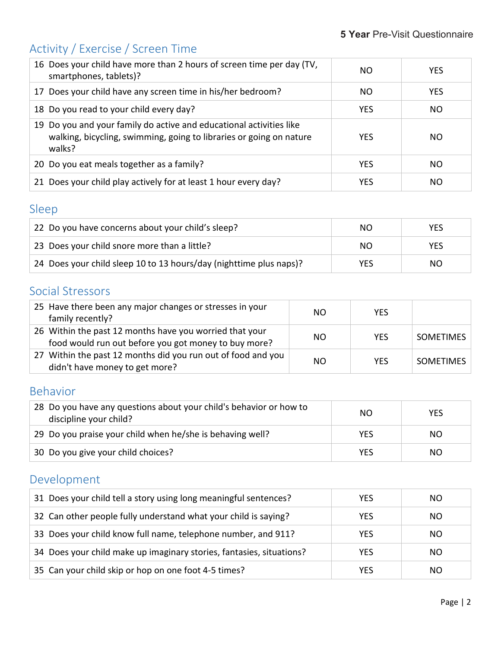# Activity / Exercise / Screen Time

| 16 Does your child have more than 2 hours of screen time per day (TV,<br>smartphones, tablets)?                                                      | NΟ         | <b>YES</b> |
|------------------------------------------------------------------------------------------------------------------------------------------------------|------------|------------|
| 17 Does your child have any screen time in his/her bedroom?                                                                                          | NO.        | <b>YES</b> |
| 18 Do you read to your child every day?                                                                                                              | <b>YES</b> | NO.        |
| 19 Do you and your family do active and educational activities like<br>walking, bicycling, swimming, going to libraries or going on nature<br>walks? | <b>YES</b> | NO.        |
| 20 Do you eat meals together as a family?                                                                                                            | <b>YES</b> | NO.        |
| 21 Does your child play actively for at least 1 hour every day?                                                                                      | <b>YES</b> | NO.        |

## Sleep

| 22 Do you have concerns about your child's sleep?                  | NO  | YES        |
|--------------------------------------------------------------------|-----|------------|
| 23 Does your child snore more than a little?                       | NO  | <b>YES</b> |
| 24 Does your child sleep 10 to 13 hours/day (nighttime plus naps)? | YES | NO.        |

## Social Stressors

| 25 Have there been any major changes or stresses in your<br>family recently?                                    | NO.       | <b>YES</b> |                  |
|-----------------------------------------------------------------------------------------------------------------|-----------|------------|------------------|
| 26 Within the past 12 months have you worried that your<br>food would run out before you got money to buy more? | <b>NO</b> | <b>YES</b> | <b>SOMETIMES</b> |
| 27 Within the past 12 months did you run out of food and you<br>didn't have money to get more?                  | <b>NO</b> | <b>YFS</b> | <b>SOMETIMES</b> |

### Behavior

| 28 Do you have any questions about your child's behavior or how to<br>discipline your child? | NO.        | <b>YES</b> |
|----------------------------------------------------------------------------------------------|------------|------------|
| 29 Do you praise your child when he/she is behaving well?                                    | <b>YES</b> | NO.        |
| 30 Do you give your child choices?                                                           | YES        | NO.        |

# Development

| 31 Does your child tell a story using long meaningful sentences?     | YES        | NO. |
|----------------------------------------------------------------------|------------|-----|
| 32 Can other people fully understand what your child is saying?      | <b>YES</b> | NO. |
| 33 Does your child know full name, telephone number, and 911?        | <b>YES</b> | NO. |
| 34 Does your child make up imaginary stories, fantasies, situations? | YES        | NO. |
| 35 Can your child skip or hop on one foot 4-5 times?                 | YES        | NO. |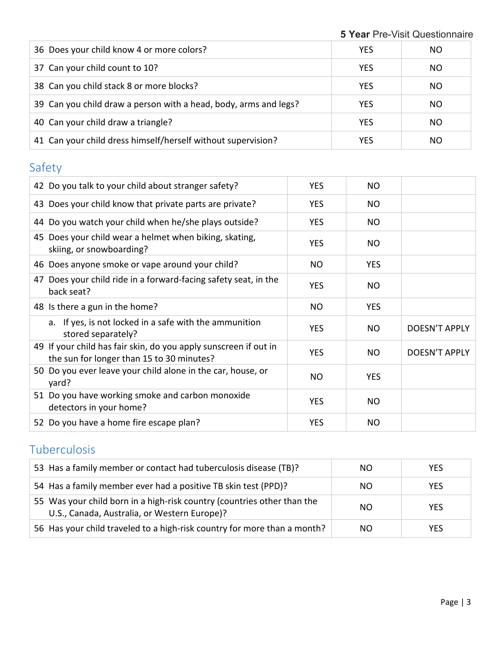**Year** Pre-Visit Questionnaire

| 36 Does your child know 4 or more colors?                        | <b>YES</b> | NO. |
|------------------------------------------------------------------|------------|-----|
| 37 Can your child count to 10?                                   | <b>YES</b> | NO. |
| 38 Can you child stack 8 or more blocks?                         | <b>YES</b> | NO. |
| 39 Can you child draw a person with a head, body, arms and legs? | <b>YES</b> | NO. |
| 40 Can your child draw a triangle?                               | <b>YES</b> | NO. |
| 41 Can your child dress himself/herself without supervision?     | <b>YES</b> | NO. |

# Safety

| 42 Do you talk to your child about stranger safety?                                                           | <b>YES</b> | <b>NO</b>  |                      |
|---------------------------------------------------------------------------------------------------------------|------------|------------|----------------------|
| 43 Does your child know that private parts are private?                                                       | <b>YES</b> | NO.        |                      |
| 44 Do you watch your child when he/she plays outside?                                                         | <b>YES</b> | <b>NO</b>  |                      |
| 45 Does your child wear a helmet when biking, skating,<br>skiing, or snowboarding?                            | <b>YES</b> | <b>NO</b>  |                      |
| 46 Does anyone smoke or vape around your child?                                                               | NO         | <b>YES</b> |                      |
| 47 Does your child ride in a forward-facing safety seat, in the<br>back seat?                                 | <b>YES</b> | NO.        |                      |
| 48 Is there a gun in the home?                                                                                | NO         | <b>YES</b> |                      |
| a. If yes, is not locked in a safe with the ammunition<br>stored separately?                                  | <b>YES</b> | <b>NO</b>  | <b>DOESN'T APPLY</b> |
| 49 If your child has fair skin, do you apply sunscreen if out in<br>the sun for longer than 15 to 30 minutes? | <b>YES</b> | <b>NO</b>  | <b>DOESN'T APPLY</b> |
| 50 Do you ever leave your child alone in the car, house, or<br>yard?                                          | <b>NO</b>  | <b>YES</b> |                      |
| 51 Do you have working smoke and carbon monoxide<br>detectors in your home?                                   | <b>YES</b> | <b>NO</b>  |                      |
| 52 Do you have a home fire escape plan?                                                                       | <b>YES</b> | <b>NO</b>  |                      |

# Tuberculosis

| 53 Has a family member or contact had tuberculosis disease (TB)?                                                        | NO.           | <b>YES</b> |
|-------------------------------------------------------------------------------------------------------------------------|---------------|------------|
| 54 Has a family member ever had a positive TB skin test (PPD)?                                                          | NO.           | <b>YES</b> |
| 55 Was your child born in a high-risk country (countries other than the<br>U.S., Canada, Australia, or Western Europe)? | <sub>NO</sub> | <b>YES</b> |
| 56 Has your child traveled to a high-risk country for more than a month?                                                | NO.           | <b>YES</b> |